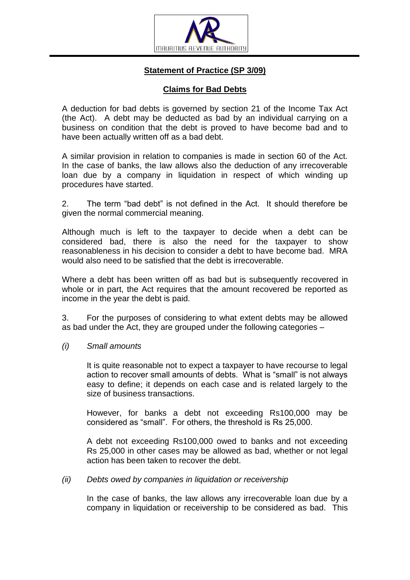

# **Statement of Practice (SP 3/09)**

## **Claims for Bad Debts**

A deduction for bad debts is governed by section 21 of the Income Tax Act (the Act). A debt may be deducted as bad by an individual carrying on a business on condition that the debt is proved to have become bad and to have been actually written off as a bad debt.

A similar provision in relation to companies is made in section 60 of the Act. In the case of banks, the law allows also the deduction of any irrecoverable loan due by a company in liquidation in respect of which winding up procedures have started.

2. The term "bad debt" is not defined in the Act. It should therefore be given the normal commercial meaning.

Although much is left to the taxpayer to decide when a debt can be considered bad, there is also the need for the taxpayer to show reasonableness in his decision to consider a debt to have become bad. MRA would also need to be satisfied that the debt is irrecoverable.

Where a debt has been written off as bad but is subsequently recovered in whole or in part, the Act requires that the amount recovered be reported as income in the year the debt is paid.

3. For the purposes of considering to what extent debts may be allowed as bad under the Act, they are grouped under the following categories –

### *(i) Small amounts*

It is quite reasonable not to expect a taxpayer to have recourse to legal action to recover small amounts of debts. What is "small" is not always easy to define; it depends on each case and is related largely to the size of business transactions.

However, for banks a debt not exceeding Rs100,000 may be considered as "small". For others, the threshold is Rs 25,000.

A debt not exceeding Rs100,000 owed to banks and not exceeding Rs 25,000 in other cases may be allowed as bad, whether or not legal action has been taken to recover the debt.

### *(ii) Debts owed by companies in liquidation or receivership*

In the case of banks, the law allows any irrecoverable loan due by a company in liquidation or receivership to be considered as bad. This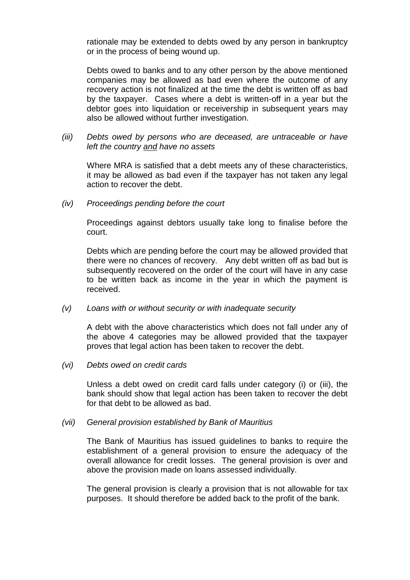rationale may be extended to debts owed by any person in bankruptcy or in the process of being wound up.

Debts owed to banks and to any other person by the above mentioned companies may be allowed as bad even where the outcome of any recovery action is not finalized at the time the debt is written off as bad by the taxpayer. Cases where a debt is written-off in a year but the debtor goes into liquidation or receivership in subsequent years may also be allowed without further investigation.

*(iii) Debts owed by persons who are deceased, are untraceable or have left the country and have no assets*

Where MRA is satisfied that a debt meets any of these characteristics, it may be allowed as bad even if the taxpayer has not taken any legal action to recover the debt.

*(iv) Proceedings pending before the court*

Proceedings against debtors usually take long to finalise before the court.

Debts which are pending before the court may be allowed provided that there were no chances of recovery. Any debt written off as bad but is subsequently recovered on the order of the court will have in any case to be written back as income in the year in which the payment is received.

### *(v) Loans with or without security or with inadequate security*

A debt with the above characteristics which does not fall under any of the above 4 categories may be allowed provided that the taxpayer proves that legal action has been taken to recover the debt.

*(vi) Debts owed on credit cards*

Unless a debt owed on credit card falls under category (i) or (iii), the bank should show that legal action has been taken to recover the debt for that debt to be allowed as bad.

### *(vii) General provision established by Bank of Mauritius*

The Bank of Mauritius has issued guidelines to banks to require the establishment of a general provision to ensure the adequacy of the overall allowance for credit losses. The general provision is over and above the provision made on loans assessed individually.

The general provision is clearly a provision that is not allowable for tax purposes. It should therefore be added back to the profit of the bank.